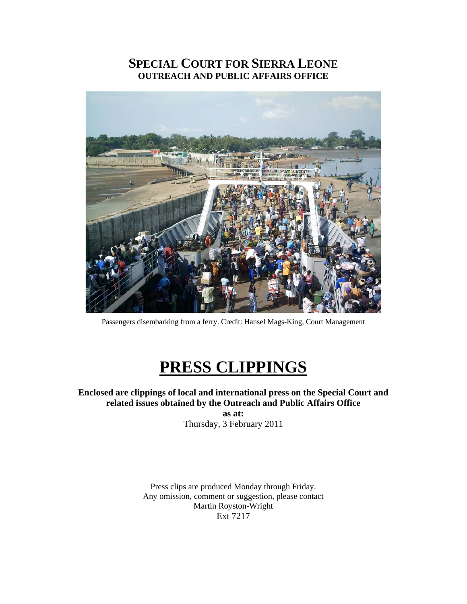# **SPECIAL COURT FOR SIERRA LEONE OUTREACH AND PUBLIC AFFAIRS OFFICE**



Passengers disembarking from a ferry. Credit: Hansel Mags-King, Court Management

# **PRESS CLIPPINGS**

**Enclosed are clippings of local and international press on the Special Court and related issues obtained by the Outreach and Public Affairs Office as at:** 

Thursday, 3 February 2011

Press clips are produced Monday through Friday. Any omission, comment or suggestion, please contact Martin Royston-Wright Ext 7217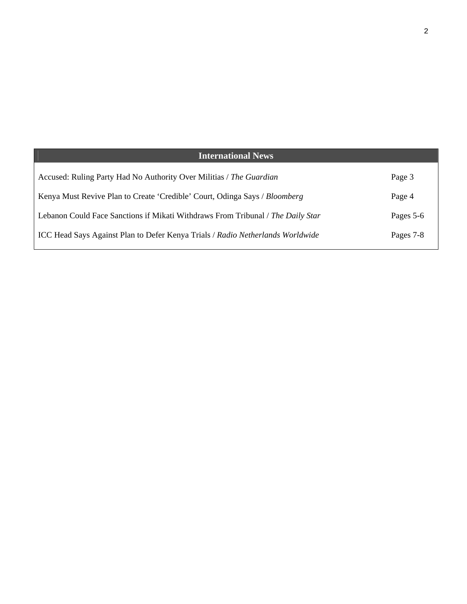| <b>International News</b>                                                             |           |
|---------------------------------------------------------------------------------------|-----------|
| Accused: Ruling Party Had No Authority Over Militias / The Guardian                   | Page 3    |
| Kenya Must Revive Plan to Create 'Credible' Court, Odinga Says / Bloomberg            | Page 4    |
| Lebanon Could Face Sanctions if Mikati Withdraws From Tribunal / The Daily Star       | Pages 5-6 |
| <b>ICC Head Says Against Plan to Defer Kenya Trials / Radio Netherlands Worldwide</b> | Pages 7-8 |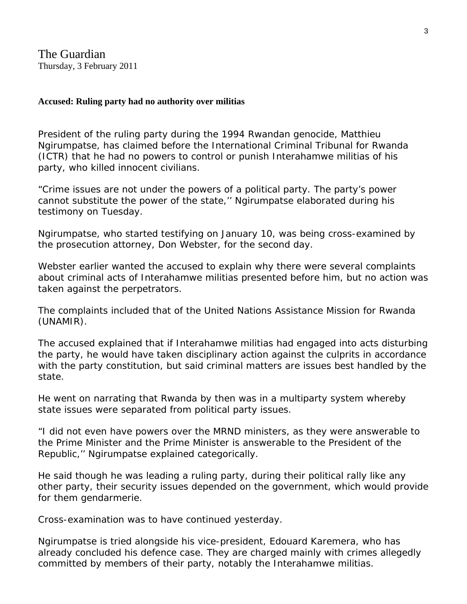The Guardian Thursday, 3 February 2011

# **Accused: Ruling party had no authority over militias**

President of the ruling party during the 1994 Rwandan genocide, Matthieu Ngirumpatse, has claimed before the International Criminal Tribunal for Rwanda (ICTR) that he had no powers to control or punish Interahamwe militias of his party, who killed innocent civilians.

"Crime issues are not under the powers of a political party. The party's power cannot substitute the power of the state,'' Ngirumpatse elaborated during his testimony on Tuesday.

Ngirumpatse, who started testifying on January 10, was being cross-examined by the prosecution attorney, Don Webster, for the second day.

Webster earlier wanted the accused to explain why there were several complaints about criminal acts of Interahamwe militias presented before him, but no action was taken against the perpetrators.

The complaints included that of the United Nations Assistance Mission for Rwanda (UNAMIR).

The accused explained that if Interahamwe militias had engaged into acts disturbing the party, he would have taken disciplinary action against the culprits in accordance with the party constitution, but said criminal matters are issues best handled by the state.

He went on narrating that Rwanda by then was in a multiparty system whereby state issues were separated from political party issues.

"I did not even have powers over the MRND ministers, as they were answerable to the Prime Minister and the Prime Minister is answerable to the President of the Republic,'' Ngirumpatse explained categorically.

He said though he was leading a ruling party, during their political rally like any other party, their security issues depended on the government, which would provide for them gendarmerie.

Cross-examination was to have continued yesterday.

Ngirumpatse is tried alongside his vice-president, Edouard Karemera, who has already concluded his defence case. They are charged mainly with crimes allegedly committed by members of their party, notably the Interahamwe militias.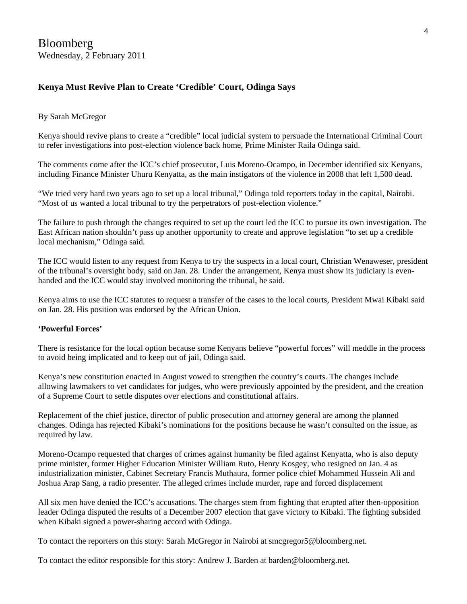# **Kenya Must Revive Plan to Create 'Credible' Court, Odinga Says**

#### By Sarah McGregor

Kenya should revive plans to create a "credible" local judicial system to persuade the International Criminal Court to refer investigations into post-election violence back home, Prime Minister Raila Odinga said.

The comments come after the ICC's chief prosecutor, Luis Moreno-Ocampo, in December identified six Kenyans, including Finance Minister Uhuru Kenyatta, as the main instigators of the violence in 2008 that left 1,500 dead.

"We tried very hard two years ago to set up a local tribunal," Odinga told reporters today in the capital, Nairobi. "Most of us wanted a local tribunal to try the perpetrators of post-election violence."

The failure to push through the changes required to set up the court led the ICC to pursue its own investigation. The East African nation shouldn't pass up another opportunity to create and approve legislation "to set up a credible local mechanism," Odinga said.

The ICC would listen to any request from Kenya to try the suspects in a local court, Christian Wenaweser, president of the tribunal's oversight body, said on Jan. 28. Under the arrangement, Kenya must show its judiciary is evenhanded and the ICC would stay involved monitoring the tribunal, he said.

Kenya aims to use the ICC statutes to request a transfer of the cases to the local courts, President Mwai Kibaki said on Jan. 28. His position was endorsed by the African Union.

## **'Powerful Forces'**

There is resistance for the local option because some Kenyans believe "powerful forces" will meddle in the process to avoid being implicated and to keep out of jail, Odinga said.

Kenya's new constitution enacted in August vowed to strengthen the country's courts. The changes include allowing lawmakers to vet candidates for judges, who were previously appointed by the president, and the creation of a Supreme Court to settle disputes over elections and constitutional affairs.

Replacement of the chief justice, director of public prosecution and attorney general are among the planned changes. Odinga has rejected Kibaki's nominations for the positions because he wasn't consulted on the issue, as required by law.

Moreno-Ocampo requested that charges of crimes against humanity be filed against Kenyatta, who is also deputy prime minister, former Higher Education Minister William Ruto, Henry Kosgey, who resigned on Jan. 4 as industrialization minister, Cabinet Secretary Francis Muthaura, former police chief Mohammed Hussein Ali and Joshua Arap Sang, a radio presenter. The alleged crimes include murder, rape and forced displacement

All six men have denied the ICC's accusations. The charges stem from fighting that erupted after then-opposition leader Odinga disputed the results of a December 2007 election that gave victory to Kibaki. The fighting subsided when Kibaki signed a power-sharing accord with Odinga.

To contact the reporters on this story: Sarah McGregor in Nairobi at smcgregor5@bloomberg.net.

To contact the editor responsible for this story: Andrew J. Barden at barden@bloomberg.net.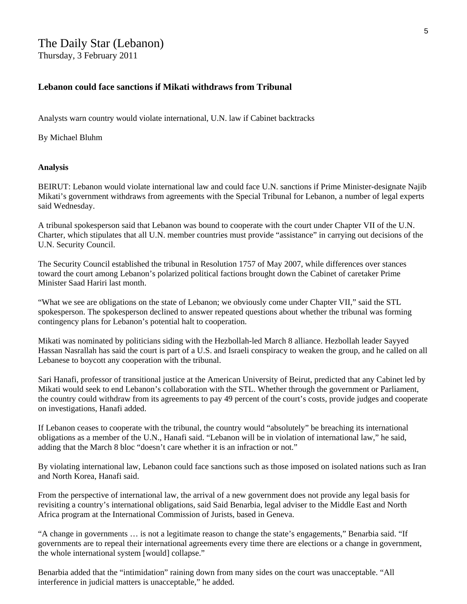# The Daily Star (Lebanon) Thursday, 3 February 2011

**Lebanon could face sanctions if Mikati withdraws from Tribunal** 

Analysts warn country would violate international, U.N. law if Cabinet backtracks

By Michael Bluhm

#### **Analysis**

BEIRUT: Lebanon would violate international law and could face U.N. sanctions if Prime Minister-designate Najib Mikati's government withdraws from agreements with the Special Tribunal for Lebanon, a number of legal experts said Wednesday.

A tribunal spokesperson said that Lebanon was bound to cooperate with the court under Chapter VII of the U.N. Charter, which stipulates that all U.N. member countries must provide "assistance" in carrying out decisions of the U.N. Security Council.

The Security Council established the tribunal in Resolution 1757 of May 2007, while differences over stances toward the court among Lebanon's polarized political factions brought down the Cabinet of caretaker Prime Minister Saad Hariri last month.

"What we see are obligations on the state of Lebanon; we obviously come under Chapter VII," said the STL spokesperson. The spokesperson declined to answer repeated questions about whether the tribunal was forming contingency plans for Lebanon's potential halt to cooperation.

Mikati was nominated by politicians siding with the Hezbollah-led March 8 alliance. Hezbollah leader Sayyed Hassan Nasrallah has said the court is part of a U.S. and Israeli conspiracy to weaken the group, and he called on all Lebanese to boycott any cooperation with the tribunal.

Sari Hanafi, professor of transitional justice at the American University of Beirut, predicted that any Cabinet led by Mikati would seek to end Lebanon's collaboration with the STL. Whether through the government or Parliament, the country could withdraw from its agreements to pay 49 percent of the court's costs, provide judges and cooperate on investigations, Hanafi added.

If Lebanon ceases to cooperate with the tribunal, the country would "absolutely" be breaching its international obligations as a member of the U.N., Hanafi said. "Lebanon will be in violation of international law," he said, adding that the March 8 bloc "doesn't care whether it is an infraction or not."

By violating international law, Lebanon could face sanctions such as those imposed on isolated nations such as Iran and North Korea, Hanafi said.

From the perspective of international law, the arrival of a new government does not provide any legal basis for revisiting a country's international obligations, said Said Benarbia, legal adviser to the Middle East and North Africa program at the International Commission of Jurists, based in Geneva.

"A change in governments … is not a legitimate reason to change the state's engagements," Benarbia said. "If governments are to repeal their international agreements every time there are elections or a change in government, the whole international system [would] collapse."

Benarbia added that the "intimidation" raining down from many sides on the court was unacceptable. "All interference in judicial matters is unacceptable," he added.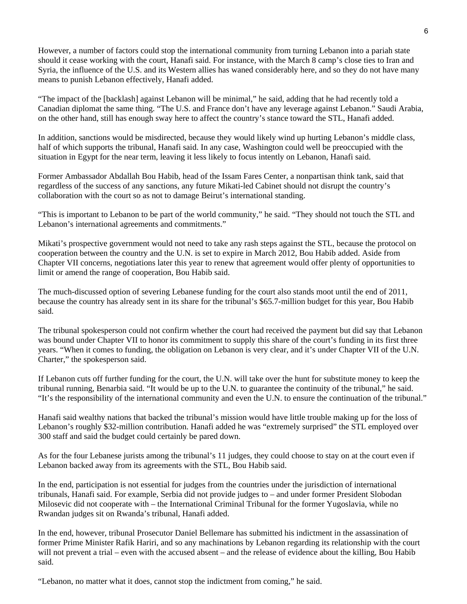However, a number of factors could stop the international community from turning Lebanon into a pariah state should it cease working with the court, Hanafi said. For instance, with the March 8 camp's close ties to Iran and Syria, the influence of the U.S. and its Western allies has waned considerably here, and so they do not have many means to punish Lebanon effectively, Hanafi added.

"The impact of the [backlash] against Lebanon will be minimal," he said, adding that he had recently told a Canadian diplomat the same thing. "The U.S. and France don't have any leverage against Lebanon." Saudi Arabia, on the other hand, still has enough sway here to affect the country's stance toward the STL, Hanafi added.

In addition, sanctions would be misdirected, because they would likely wind up hurting Lebanon's middle class, half of which supports the tribunal, Hanafi said. In any case, Washington could well be preoccupied with the situation in Egypt for the near term, leaving it less likely to focus intently on Lebanon, Hanafi said.

Former Ambassador Abdallah Bou Habib, head of the Issam Fares Center, a nonpartisan think tank, said that regardless of the success of any sanctions, any future Mikati-led Cabinet should not disrupt the country's collaboration with the court so as not to damage Beirut's international standing.

"This is important to Lebanon to be part of the world community," he said. "They should not touch the STL and Lebanon's international agreements and commitments."

Mikati's prospective government would not need to take any rash steps against the STL, because the protocol on cooperation between the country and the U.N. is set to expire in March 2012, Bou Habib added. Aside from Chapter VII concerns, negotiations later this year to renew that agreement would offer plenty of opportunities to limit or amend the range of cooperation, Bou Habib said.

The much-discussed option of severing Lebanese funding for the court also stands moot until the end of 2011, because the country has already sent in its share for the tribunal's \$65.7-million budget for this year, Bou Habib said.

The tribunal spokesperson could not confirm whether the court had received the payment but did say that Lebanon was bound under Chapter VII to honor its commitment to supply this share of the court's funding in its first three years. "When it comes to funding, the obligation on Lebanon is very clear, and it's under Chapter VII of the U.N. Charter," the spokesperson said.

If Lebanon cuts off further funding for the court, the U.N. will take over the hunt for substitute money to keep the tribunal running, Benarbia said. "It would be up to the U.N. to guarantee the continuity of the tribunal," he said. "It's the responsibility of the international community and even the U.N. to ensure the continuation of the tribunal."

Hanafi said wealthy nations that backed the tribunal's mission would have little trouble making up for the loss of Lebanon's roughly \$32-million contribution. Hanafi added he was "extremely surprised" the STL employed over 300 staff and said the budget could certainly be pared down.

As for the four Lebanese jurists among the tribunal's 11 judges, they could choose to stay on at the court even if Lebanon backed away from its agreements with the STL, Bou Habib said.

In the end, participation is not essential for judges from the countries under the jurisdiction of international tribunals, Hanafi said. For example, Serbia did not provide judges to – and under former President Slobodan Milosevic did not cooperate with – the International Criminal Tribunal for the former Yugoslavia, while no Rwandan judges sit on Rwanda's tribunal, Hanafi added.

In the end, however, tribunal Prosecutor Daniel Bellemare has submitted his indictment in the assassination of former Prime Minister Rafik Hariri, and so any machinations by Lebanon regarding its relationship with the court will not prevent a trial – even with the accused absent – and the release of evidence about the killing, Bou Habib said.

"Lebanon, no matter what it does, cannot stop the indictment from coming," he said.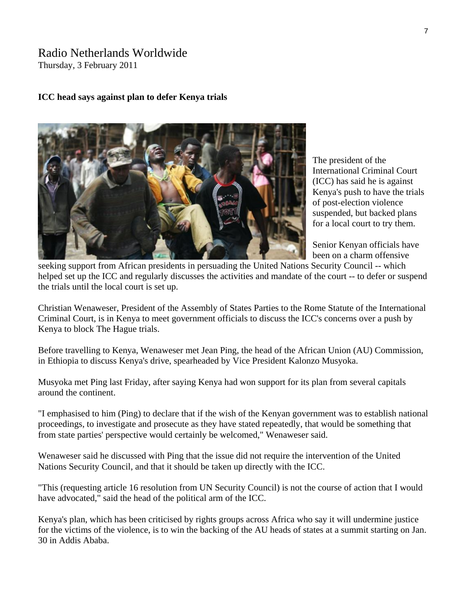# Radio Netherlands Worldwide

Thursday, 3 February 2011

# **ICC head says against plan to defer Kenya trials**



The president of the International Criminal Court (ICC) has said he is against Kenya's push to have the trials of post-election violence suspended, but backed plans for a local court to try them.

Senior Kenyan officials have been on a charm offensive

seeking support from African presidents in persuading the United Nations Security Council -- which helped set up the ICC and regularly discusses the activities and mandate of the court -- to defer or suspend the trials until the local court is set up.

Christian Wenaweser, President of the Assembly of States Parties to the Rome Statute of the International Criminal Court, is in Kenya to meet government officials to discuss the ICC's concerns over a push by Kenya to block The Hague trials.

Before travelling to Kenya, Wenaweser met Jean Ping, the head of the African Union (AU) Commission, in Ethiopia to discuss Kenya's drive, spearheaded by Vice President Kalonzo Musyoka.

Musyoka met Ping last Friday, after saying Kenya had won support for its plan from several capitals around the continent.

"I emphasised to him (Ping) to declare that if the wish of the Kenyan government was to establish national proceedings, to investigate and prosecute as they have stated repeatedly, that would be something that from state parties' perspective would certainly be welcomed," Wenaweser said.

Wenaweser said he discussed with Ping that the issue did not require the intervention of the United Nations Security Council, and that it should be taken up directly with the ICC.

"This (requesting article 16 resolution from UN Security Council) is not the course of action that I would have advocated," said the head of the political arm of the ICC.

Kenya's plan, which has been criticised by rights groups across Africa who say it will undermine justice for the victims of the violence, is to win the backing of the AU heads of states at a summit starting on Jan. 30 in Addis Ababa.